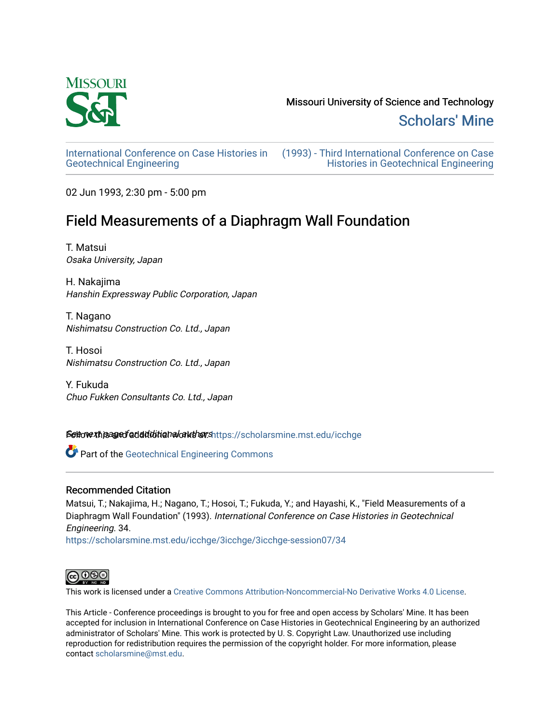

[Scholars' Mine](https://scholarsmine.mst.edu/) 

[International Conference on Case Histories in](https://scholarsmine.mst.edu/icchge)  [Geotechnical Engineering](https://scholarsmine.mst.edu/icchge)

[\(1993\) - Third International Conference on Case](https://scholarsmine.mst.edu/icchge/3icchge)  [Histories in Geotechnical Engineering](https://scholarsmine.mst.edu/icchge/3icchge) 

02 Jun 1993, 2:30 pm - 5:00 pm

# Field Measurements of a Diaphragm Wall Foundation

T. Matsui Osaka University, Japan

H. Nakajima Hanshin Expressway Public Corporation, Japan

T. Nagano Nishimatsu Construction Co. Ltd., Japan

T. Hosoi Nishimatsu Construction Co. Ltd., Japan

Y. Fukuda Chuo Fukken Consultants Co. Ltd., Japan

Settovext paged additional authorshttps://scholarsmine.mst.edu/icchge

**Part of the Geotechnical Engineering Commons** 

## Recommended Citation

Matsui, T.; Nakajima, H.; Nagano, T.; Hosoi, T.; Fukuda, Y.; and Hayashi, K., "Field Measurements of a Diaphragm Wall Foundation" (1993). International Conference on Case Histories in Geotechnical Engineering. 34.

[https://scholarsmine.mst.edu/icchge/3icchge/3icchge-session07/34](https://scholarsmine.mst.edu/icchge/3icchge/3icchge-session07/34?utm_source=scholarsmine.mst.edu%2Ficchge%2F3icchge%2F3icchge-session07%2F34&utm_medium=PDF&utm_campaign=PDFCoverPages) 



This work is licensed under a [Creative Commons Attribution-Noncommercial-No Derivative Works 4.0 License.](https://creativecommons.org/licenses/by-nc-nd/4.0/)

This Article - Conference proceedings is brought to you for free and open access by Scholars' Mine. It has been accepted for inclusion in International Conference on Case Histories in Geotechnical Engineering by an authorized administrator of Scholars' Mine. This work is protected by U. S. Copyright Law. Unauthorized use including reproduction for redistribution requires the permission of the copyright holder. For more information, please contact [scholarsmine@mst.edu](mailto:scholarsmine@mst.edu).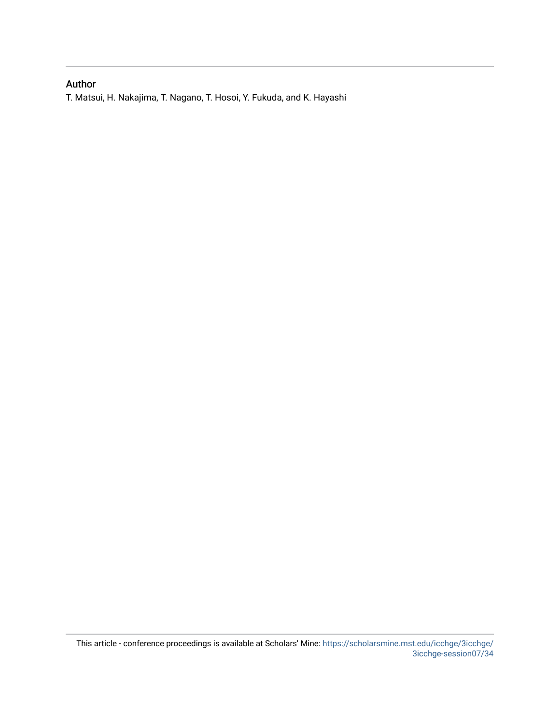## Author

T. Matsui, H. Nakajima, T. Nagano, T. Hosoi, Y. Fukuda, and K. Hayashi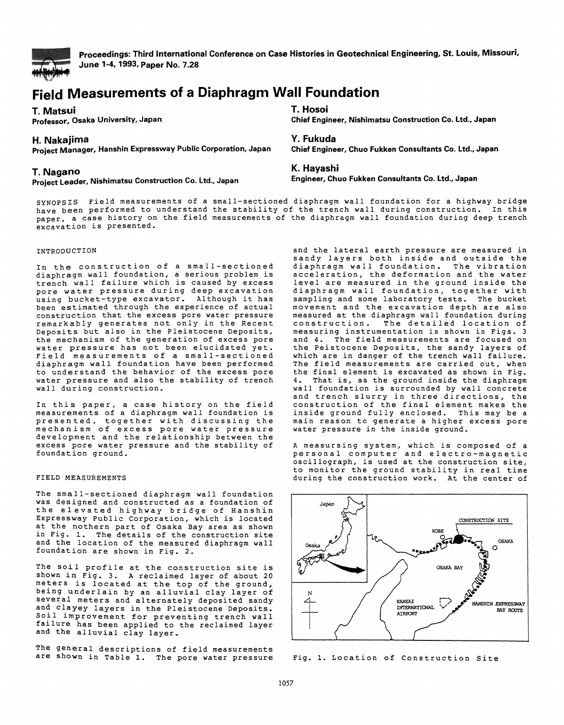

**Proceedings: Third International Conference on Case Histories in Geotechnical Engineering, St. louis, Missouri, June 1-4, 1993, Paper No. 7.28** 

# **Field Measurements of a Diaphragm Wall Foundation**

**T. Matsui T. Hosoi** 

**Chief Engineer, Nishimatsu Construction Co. Ltd., Japan** 

## **H. Nakajima Y.Fukuda**

**Project Manager, Hanshin Expressway Public Corporation, Japan Chief Engineer, Chuo Fukken Consultants Co. Ltd., Japan** 

### **T. Nagano**

**Project Leader, Nishimatsu Construction Co. Ltd., Japan** 

### **K. Hayashi**

**Engineer, Chuo Fukken Consultants Co. ltd., Japan** 

SYNOPSIS Field measurements of a small-sectioned diaphragm wall foundation for a highway bridge have been performed to understand the stability of the trench wall during construction. In this paper, a case history on the field measurements of the diaphragm wall foundation during deep trench excavation is presented.

#### INTRODUCTION

In the construction of a small-sectioned diaphragm wall foundation, a serious problem is<br>trench wall failure which is caused by excess trench wall failure which is caused by excess pore water pressure during deep excavation pore water pressure during deep excavation<br>using bucket-type excavator. Although it has been estimated through the experience of actual construction that the excess pore water pressure remarkably generates not only *in* the Recent Deposits but also in the Pleistocene Deposits, the mechanism of the generation of excess pore water pressure has not been elucidated yet. Field measurements of a small-sectioned diaphragm wall foundation have been performed to understand the behavior of the excess pore water pressure and also the stability of trench wall during construction.

In this paper, a case history on the field measurements of a diaphragm wall foundation is presented, together with discussing the mechanism of excess pore water pressure development and the relationship between the excess pore water pressure and the stability of foundation ground.

#### FIELD MEASUREMENTS

The small-sectioned diaphragm wall foundation was designed and constructed as a foundation of the elevated highway bridge of Hanshin Expressway Public Corporation, which is located at the nothern part of Osaka Bay area as shown<br>in Fig. 1. The details of the construction site The details of the construction site and the location of the measured diaphragm wall foundation are shown *in Fig.* 2.

The soil profile at the construction site is shown *in* Fig. 3. A reclaimed layer of about 20 meters is located at the top of the ground, being underlain by an alluvial clay layer of several meters and alternately deposited sandy and clayey layers in the Pleistocene Deposits. Soil improvement for preventing trench wall failure has been applied to the reclaimed layer and the alluvial clay layer.

The general descriptions of field measurements are shown in Table 1. The pore water pressure

and the lateral earth pressure are measured *in*  sandy layers both inside and outside the<br>diaphragm wall foundation. The vibration diaphragm wall foundation. acceleration, the deformation and the water level are measured in the ground inside the diaphragm wall foundation, together with sampling and some laboratory tests. The bucket movement and the excavation depth are also measured at the diaphragm wall foundation during<br>construction. The detailed location of The detailed location of measuring instrumentation is shown in Figs. 3 and 4. The field measurements are focused on the Peistocene Deposits, the sandy layers of which are in danger of the trench wall failure. The field measurements are carried out, when the final element is excavated as shown in Fig.<br>4. That is, as the ground inside the diaphragm That is, as the ground inside the diaphragm wall foundation is surrounded by wall concrete and trench slurry in three directions, the construction of the final element makes the *inside* ground fully enclosed. This may be a main reason to generate a higher excess pore water pressure in the inside ground.

A measursing system, which is composed of a personal computer and electro-magnetic oscillograph, is used at the construction site, to monitor the ground stability *in* real time during the construction work. At the center of



Fig. 1. Location of Construction Site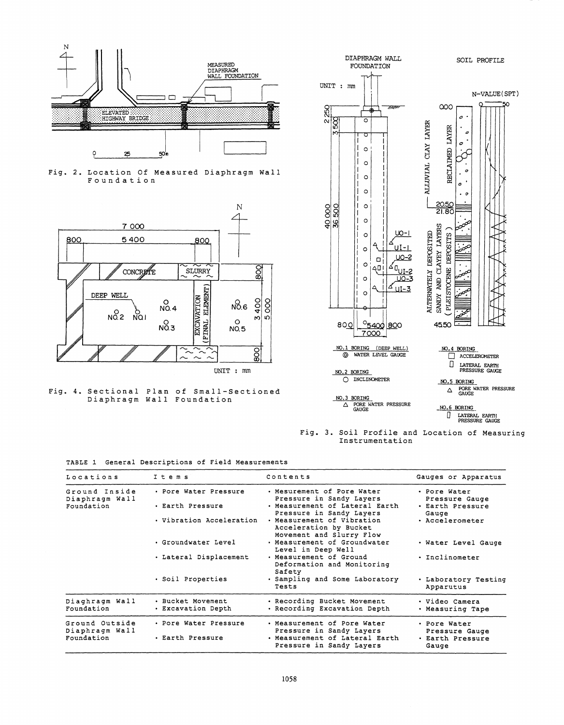





Fig. 4. Sectional Plan Diaphragm Wall of Small-Sectioned Foundation



Fig. 3. *Soil* Profile and Location of Measuring Instrumentation

|  |  |  | TABLE 1 General Descriptions of Field Measurements |  |  |  |
|--|--|--|----------------------------------------------------|--|--|--|
|--|--|--|----------------------------------------------------|--|--|--|

| Locations                       | Items                                   | Contents                                                                               | Gauges or Apparatus                         |
|---------------------------------|-----------------------------------------|----------------------------------------------------------------------------------------|---------------------------------------------|
| Ground Inside<br>Diaphragm Wall | . Pore Water Pressure                   | . Mesurement of Pore Water<br>Pressure in Sandy Layers                                 | • Pore Water<br>Pressure Gauge              |
| Foundation                      | • Earth Pressure                        | . Measurement of Lateral Earth<br>Pressure in Sandy Layers                             | · Earth Pressure<br>Gauge                   |
|                                 | · Vibration Acceleration                | . Measurement of Vibration<br>Acceleration by Bucket<br>Movement and Slurry Flow       | · Accelerometer                             |
|                                 | • Groundwater Level                     | . Measurement of Groundwater<br>Level in Deep Well                                     | . Water Level Gauge                         |
|                                 | . Lateral Displacement                  | . Measurement of Ground<br>Deformation and Monitoring<br>Safety                        | · Inclinometer                              |
|                                 | · Soil Properties                       | . Sampling and Some Laboratory<br>Tests                                                | . Laboratory Testing<br>Apparutus           |
| Diaghragm Wall<br>Foundation    | · Bucket Movement<br>• Excavation Depth | . Recording Bucket Movement<br>· Recording Excavation Depth                            | • Video Camera<br>• Measuring Tape          |
| Ground Outside                  | . Pore Water Pressure                   | . Measurement of Pore Water                                                            | • Pore Water                                |
| Diaphragm Wall<br>Foundation    | . Earth Pressure                        | Pressure in Sandy Layers<br>. Measurement of Lateral Earth<br>Pressure in Sandy Layers | Pressure Gauge<br>· Earth Pressure<br>Gauge |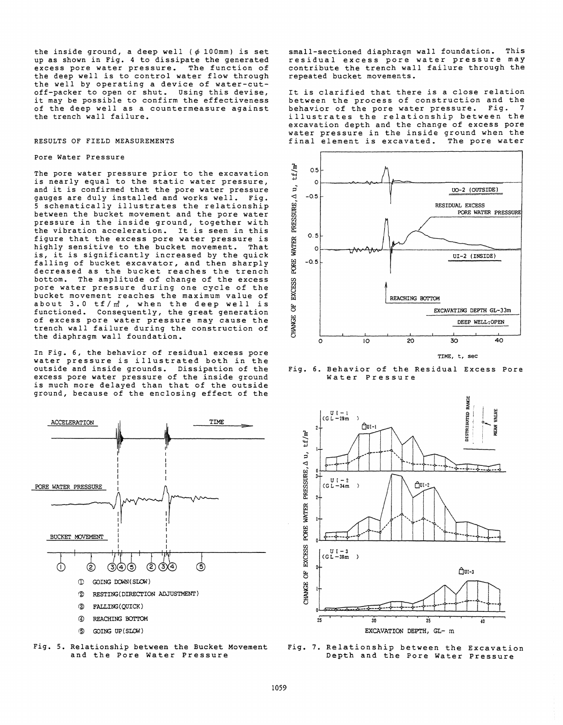the inside ground, a deep well  $(\phi 100 \text{mm})$  is set<br>up as shown in Fig. 4 to dissipate the generated excess pore water pressure. The function of the deep well *is* to control water flow through the well by operating a device of water-cutoff-packer to open or shut. Using this devise, it may be possible to confirm the effectiveness of the deep well as a countermeasure against the trench wall failure.

### RESULTS OF FIELD MEASUREMENTS

#### Pore Water Pressure

The pore water pressure prior to the excavation *is* nearly equal to the static water pressure, and it *is* confirmed that the pore water pressure gauges are duly installed and works well. Fig. 5 schematically illustrates the relationship between the bucket movement and the pore water pressure in the inside ground, together with the vibration acceleration. It *is* seen in this figure that the excess pore water pressure *is*  highly sensitive to the bucket movement. That *is,* it *is* significantly increased by the quick falling of bucket excavator, and then sharply decreased as the bucket reaches the trench bottom. The amplitude of change of the excess pore water pressure during one cycle of the bucket movement reaches the maximum value of about 3.0 tf/m<sup>2</sup>, when the deep well is functioned. Consequently, the great generation of excess pore water pressure may cause the trench wall failure during the construction of the diaphragm wall foundation.

In Fig. 6, the behavior of residual excess pore water pressure *is* illustrated both in the outside and inside grounds. Dissipation of the excess pore water pressure of the inside ground *is* much more delayed than that of the outside ground, because of the enclosing effect of the





small-sectioned diaphragm wall foundation. This residual excess pore water pressure may contribute the trench wall failure through the repeated bucket movements.

It *is* clarified that there is a close relation between the process of construction and the<br>behavior of the pore water pressure, Fig. 7 behavior of the pore water pressure. illustrates the relationship between the excavation depth and the change of excess pore water pressure in the inside ground when the<br>final element is excavated. The pore water final element is excavated.



Fig. 6. Behavior of the Residual Excess Pore Water Pressure



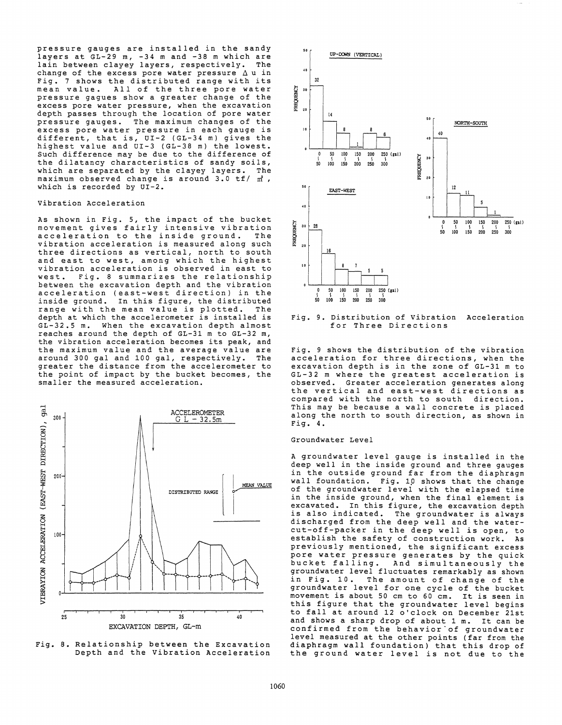pressure gauges are installed in the sandy layers at GL-29 m, -34 m and -38 m which are lain between clayey layers, respectively. The change of the excess pore water pressure  $\Delta$  u in Fig. 7 shows the distributed range with its mean value. All of the three pore water pressure gagues show a greater change of the excess pore water pressure, when the excavation depth passes through the location of pore water<br>pressure gauges. The maximum changes of the pressure gauges. The maximum changes of the excess pore water pressure in each gauge *is*  different, that *is,* OI-2 (GL-34 m) gives the highest value and OI-3 (GL-38 m) the lowest. Such difference may be due to the difference of the dilatancy characteristics of sandy soils, which are separated by the clayey layers. The maximum observed change is around  $3.0$  tf/ m<sup>2</sup>, which is recorded by OI-2.

#### Vibration Acceleration

As shown in Fig. 5, the impact of the bucket movement gives fairly intensive vibration acceleration to the inside ground. The vibration acceleration is measured along such three directions as vertical, north to south and east to west, among which the highest vibration acceleration is observed in east to west. Fig. 8 summarizes the relationship between the excavation depth and the vibration acceleration (east-west direction) in the inside ground. In this figure, the distributed<br>range with the mean value is plotted. The range with the mean value is plotted. depth at which the accelerometer *is* installed *is*  GL-32.5 m. When the excavation depth almost reaches around the depth of GL-31 m to GL-32 m, the vibration acceleration becomes its peak, and the maximum value and the average value are around 300 gal and 100 gal, respectively. The greater the distance from the accelerometer to the point of impact by the bucket becomes, the smaller the measured acceleration.



Fig. 8. Relationship between the Excavation Depth and the Vibration Acceleration



Fig. 9. Distribution of Vibration Acceleration for Three Directions

Fig. 9 shows the distribution of the vibration acceleration for three directions, when the excavation depth is in the zone of GL-31 m to GL-32 m where the greatest acceleration is observed. Greater acceleration generates along<br>the vertical and east-west directions as compared with the north to south direction. This may be because a wall concrete is placed along the north to south direction, as shown in Fig. 4.

#### Groundwater Level

A groundwater level gauge is installed in the deep well in the inside ground and three gauges in the outside ground far from the diaphragm wall foundation. Fig. *1P* shows that the change of the groundwater level with the elapsed time in the inside ground, when the final element is excavated. In this figure, the excavation depth is also indicated. The groundwater is always discharged from the deep well and the watercut-off-packer in the deep well *is* open, to establish the safety of construction work. As previously mentioned, the significant excess pore water pressure generates by the quick<br>bucket falling. And simultaneously the And simultaneously the groundwater level fluctuates remarkably as shown *in* Fig. 10. The amount of change of the groundwater level for one cycle of the bucket movement *is* about 50 em to 60 em. It is seen in this figure that the groundwater level begins to fall at around 12 o'clock on December 21st and shows a sharp drop of about 1 m. It can be confirmed from the behavior"of groundwater level measured at the other points (far from the diaphragm wall foundation) that this drop of the ground water level *is* not due to the